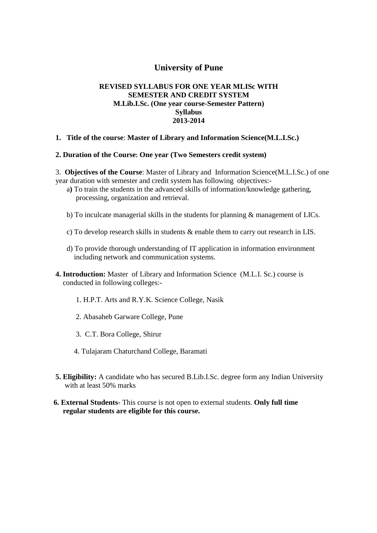# **University of Pune**

### **REVISED SYLLABUS FOR ONE YEAR MLISc WITH SEMESTER AND CREDIT SYSTEM M.Lib.I.Sc. (One year course-Semester Pattern) Syllabus 2013-2014**

### **1. Title of the course**: **Master of Library and Information Science(M.L.I.Sc.)**

#### **2. Duration of the Course: One year (Two Semesters credit system)**

3. **Objectives of the Course**: Master of Library and Information Science(M.L.I.Sc.) of one year duration with semester and credit system has following objectives:-

- a**)** To train the students in the advanced skills of information/knowledge gathering, processing, organization and retrieval.
- b) To inculcate managerial skills in the students for planning & management of LICs.
- c) To develop research skills in students & enable them to carry out research in LIS.
- d) To provide thorough understanding of IT application in information environment including network and communication systems.
- **4. Introduction:** Master of Library and Information Science (M.L.I. Sc.) course is conducted in following colleges:-
	- 1. H.P.T. Arts and R.Y.K. Science College, Nasik
	- 2. Abasaheb Garware College, Pune
	- 3. C.T. Bora College, Shirur
	- 4. Tulajaram Chaturchand College, Baramati
- **5. Eligibility:** A candidate who has secured B.Lib.I.Sc. degree form any Indian University with at least 50% marks
- **6. External Students-** This course is not open to external students. **Only full time regular students are eligible for this course.**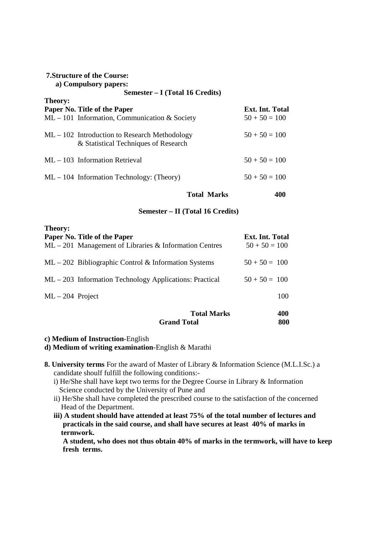| <b>7. Structure of the Course:</b>                                                      |                 |
|-----------------------------------------------------------------------------------------|-----------------|
| a) Compulsory papers:                                                                   |                 |
| Semester – I (Total 16 Credits)                                                         |                 |
| <b>Theory:</b>                                                                          |                 |
| Paper No. Title of the Paper                                                            | Ext. Int. Total |
| $ML - 101$ Information, Communication & Society                                         | $50 + 50 = 100$ |
| $ML - 102$ Introduction to Research Methodology<br>& Statistical Techniques of Research | $50 + 50 = 100$ |
| $ML - 103$ Information Retrieval                                                        | $50 + 50 = 100$ |
| $ML - 104$ Information Technology: (Theory)                                             | $50 + 50 = 100$ |
| <b>Total Marks</b>                                                                      | 400             |

#### **Semester – II (Total 16 Credits)**

| <b>Theory:</b>     |                                                                                          |                                           |
|--------------------|------------------------------------------------------------------------------------------|-------------------------------------------|
|                    | Paper No. Title of the Paper<br>$ML - 201$ Management of Libraries & Information Centres | <b>Ext. Int. Total</b><br>$50 + 50 = 100$ |
|                    | $ML - 202$ Bibliographic Control & Information Systems                                   | $50 + 50 = 100$                           |
|                    | $ML - 203$ Information Technology Applications: Practical                                | $50 + 50 = 100$                           |
| $ML - 204$ Project |                                                                                          | 100                                       |
|                    | <b>Total Marks</b><br><b>Grand Total</b>                                                 | 400<br>800                                |

#### **c) Medium of Instruction**-English

#### **d) Medium of writing examination**-English & Marathi

- **8. University terms** For the award of Master of Library & Information Science (M.L.I.Sc.) a candidate shoulf fulfill the following conditions:
	- i) He/She shall have kept two terms for the Degree Course in Library & Information Science conducted by the University of Pune and
	- ii) He/She shall have completed the prescribed course to the satisfaction of the concerned Head of the Department.
	- **iii) A student should have attended at least 75% of the total number of lectures and practicals in the said course, and shall have secures at least 40% of marks in termwork.**

 **A student, who does not thus obtain 40% of marks in the termwork, will have to keep fresh terms.**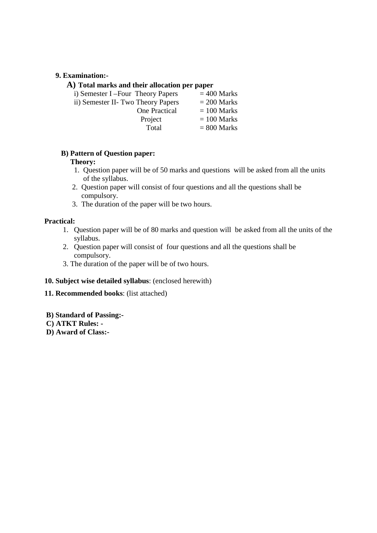### **9. Examination:-**

### **A) Total marks and their allocation per paper**

| i) Semester I-Four Theory Papers   | $= 400$ Marks |
|------------------------------------|---------------|
| ii) Semester II- Two Theory Papers | $= 200$ Marks |
| One Practical                      | $= 100$ Marks |
| Project                            | $= 100$ Marks |
| Total                              | $= 800$ Marks |
|                                    |               |

### **B) Pattern of Question paper:**

### **Theory:**

- 1. Question paper will be of 50 marks and questions will be asked from all the units of the syllabus.
- 2. Question paper will consist of four questions and all the questions shall be compulsory.
- 3. The duration of the paper will be two hours.

### **Practical:**

- 1. Question paper will be of 80 marks and question will be asked from all the units of the syllabus.
- 2. Question paper will consist of four questions and all the questions shall be compulsory.
- 3. The duration of the paper will be of two hours.

### **10. Subject wise detailed syllabus**: (enclosed herewith)

### **11. Recommended books**: (list attached)

- **B) Standard of Passing:-**
- **C) ATKT Rules:**
- **D) Award of Class:-**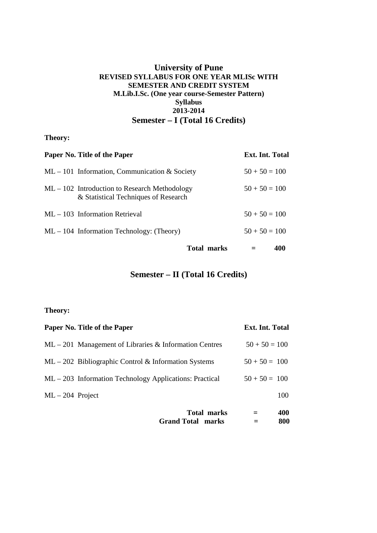## **University of Pune REVISED SYLLABUS FOR ONE YEAR MLISc WITH SEMESTER AND CREDIT SYSTEM M.Lib.I.Sc. (One year course-Semester Pattern) Syllabus 2013-2014 Semester – I (Total 16 Credits)**

**Theory:** 

| Paper No. Title of the Paper                                                            |             | Ext. Int. Total |     |
|-----------------------------------------------------------------------------------------|-------------|-----------------|-----|
| $ML - 101$ Information, Communication & Society                                         |             | $50 + 50 = 100$ |     |
| $ML - 102$ Introduction to Research Methodology<br>& Statistical Techniques of Research |             | $50 + 50 = 100$ |     |
| $ML - 103$ Information Retrieval                                                        |             | $50 + 50 = 100$ |     |
| $ML - 104$ Information Technology: (Theory)                                             |             | $50 + 50 = 100$ |     |
|                                                                                         | Total marks |                 | 400 |

# **Semester – II (Total 16 Credits)**

## **Theory:**

|                    | Paper No. Title of the Paper                              | Ext. Int. Total |            |
|--------------------|-----------------------------------------------------------|-----------------|------------|
|                    | $ML - 201$ Management of Libraries & Information Centres  | $50 + 50 = 100$ |            |
|                    | $ML - 202$ Bibliographic Control & Information Systems    | $50 + 50 = 100$ |            |
|                    | $ML - 203$ Information Technology Applications: Practical | $50 + 50 = 100$ |            |
| $ML - 204$ Project |                                                           |                 | 100        |
|                    | <b>Total marks</b><br><b>Grand Total marks</b>            |                 | 400<br>800 |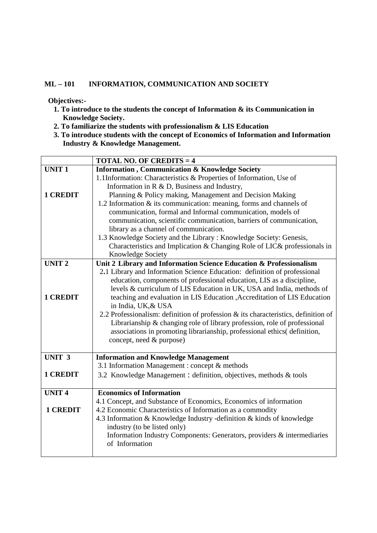### **ML – 101 INFORMATION, COMMUNICATION AND SOCIETY**

### **Objectives:-**

- **1. To introduce to the students the concept of Information & its Communication in Knowledge Society.**
- **2. To familiarize the students with professionalism & LIS Education**
- **3. To introduce students with the concept of Economics of Information and Information Industry & Knowledge Management.**

|                   | <b>TOTAL NO. OF CREDITS = 4</b>                                                    |
|-------------------|------------------------------------------------------------------------------------|
| <b>UNIT1</b>      | <b>Information</b> , Communication & Knowledge Society                             |
|                   | 1.1Information: Characteristics & Properties of Information, Use of                |
|                   | Information in $R \& D$ , Business and Industry,                                   |
| <b>1 CREDIT</b>   | Planning & Policy making, Management and Decision Making                           |
|                   | 1.2 Information $\&$ its communication: meaning, forms and channels of             |
|                   | communication, formal and Informal communication, models of                        |
|                   | communication, scientific communication, barriers of communication,                |
|                   | library as a channel of communication.                                             |
|                   | 1.3 Knowledge Society and the Library: Knowledge Society: Genesis,                 |
|                   | Characteristics and Implication & Changing Role of LIC& professionals in           |
|                   | Knowledge Society                                                                  |
| <b>UNIT2</b>      | Unit 2 Library and Information Science Education & Professionalism                 |
|                   | 2.1 Library and Information Science Education: definition of professional          |
|                   | education, components of professional education, LIS as a discipline,              |
|                   | levels & curriculum of LIS Education in UK, USA and India, methods of              |
| <b>1 CREDIT</b>   | teaching and evaluation in LIS Education , Accreditation of LIS Education          |
|                   | in India, UK, & USA                                                                |
|                   | 2.2 Professionalism: definition of profession & its characteristics, definition of |
|                   | Librarianship & changing role of library profession, role of professional          |
|                   | associations in promoting librarianship, professional ethics(definition,           |
|                   | concept, need & purpose)                                                           |
|                   |                                                                                    |
| UNIT <sub>3</sub> | <b>Information and Knowledge Management</b>                                        |
| <b>1 CREDIT</b>   | 3.1 Information Management : concept & methods                                     |
|                   | 3.2 Knowledge Management : definition, objectives, methods & tools                 |
| <b>UNIT4</b>      | <b>Economics of Information</b>                                                    |
|                   | 4.1 Concept, and Substance of Economics, Economics of information                  |
| <b>1 CREDIT</b>   | 4.2 Economic Characteristics of Information as a commodity                         |
|                   | 4.3 Information & Knowledge Industry -definition & kinds of knowledge              |
|                   | industry (to be listed only)                                                       |
|                   | Information Industry Components: Generators, providers & intermediaries            |
|                   | of Information                                                                     |
|                   |                                                                                    |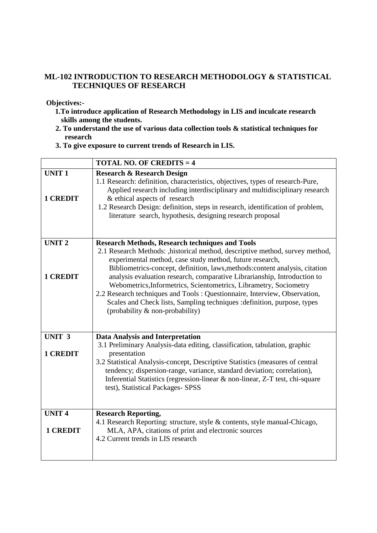# **ML-102 INTRODUCTION TO RESEARCH METHODOLOGY & STATISTICAL TECHNIQUES OF RESEARCH**

### **Objectives:-**

- **1.To introduce application of Research Methodology in LIS and inculcate research skills among the students.**
- **2. To understand the use of various data collection tools & statistical techniques for research**
- **3. To give exposure to current trends of Research in LIS.**

|                                      | <b>TOTAL NO. OF CREDITS = 4</b>                                                                                                                                                                                                                                                                                                                                                                                                                                                                                                                                                                                                  |
|--------------------------------------|----------------------------------------------------------------------------------------------------------------------------------------------------------------------------------------------------------------------------------------------------------------------------------------------------------------------------------------------------------------------------------------------------------------------------------------------------------------------------------------------------------------------------------------------------------------------------------------------------------------------------------|
| <b>UNIT1</b><br><b>1 CREDIT</b>      | <b>Research &amp; Research Design</b><br>1.1 Research: definition, characteristics, objectives, types of research-Pure,<br>Applied research including interdisciplinary and multidisciplinary research<br>& ethical aspects of research<br>1.2 Research Design: definition, steps in research, identification of problem,<br>literature search, hypothesis, designing research proposal                                                                                                                                                                                                                                          |
| <b>UNIT2</b><br><b>1 CREDIT</b>      | <b>Research Methods, Research techniques and Tools</b><br>2.1 Research Methods: , historical method, descriptive method, survey method,<br>experimental method, case study method, future research,<br>Bibliometrics-concept, definition, laws, methods: content analysis, citation<br>analysis evaluation research, comparative Librarianship, Introduction to<br>Webometrics, Informetrics, Scientometrics, Librametry, Sociometry<br>2.2 Research techniques and Tools: Questionnaire, Interview, Observation,<br>Scales and Check lists, Sampling techniques : definition, purpose, types<br>(probability & non-probability) |
| UNIT <sub>3</sub><br><b>1 CREDIT</b> | <b>Data Analysis and Interpretation</b><br>3.1 Preliminary Analysis-data editing, classification, tabulation, graphic<br>presentation<br>3.2 Statistical Analysis-concept, Descriptive Statistics (measures of central<br>tendency; dispersion-range, variance, standard deviation; correlation),<br>Inferential Statistics (regression-linear & non-linear, Z-T test, chi-square<br>test), Statistical Packages- SPSS                                                                                                                                                                                                           |
| <b>UNIT4</b><br><b>1 CREDIT</b>      | <b>Research Reporting,</b><br>4.1 Research Reporting: structure, style & contents, style manual-Chicago,<br>MLA, APA, citations of print and electronic sources<br>4.2 Current trends in LIS research                                                                                                                                                                                                                                                                                                                                                                                                                            |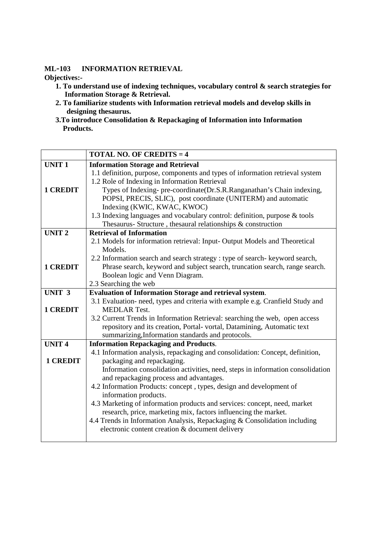### **ML-103 INFORMATION RETRIEVAL**

**Objectives:-** 

- **1. To understand use of indexing techniques, vocabulary control & search strategies for Information Storage & Retrieval.**
- **2. To familiarize students with Information retrieval models and develop skills in designing thesaurus.**
- **3.To introduce Consolidation & Repackaging of Information into Information Products.**

|                   | <b>TOTAL NO. OF CREDITS = 4</b>                                                                                                                             |
|-------------------|-------------------------------------------------------------------------------------------------------------------------------------------------------------|
| <b>UNIT1</b>      | <b>Information Storage and Retrieval</b>                                                                                                                    |
|                   | 1.1 definition, purpose, components and types of information retrieval system                                                                               |
|                   | 1.2 Role of Indexing in Information Retrieval                                                                                                               |
| <b>1 CREDIT</b>   | Types of Indexing-pre-coordinate(Dr.S.R.Ranganathan's Chain indexing,                                                                                       |
|                   | POPSI, PRECIS, SLIC), post coordinate (UNITERM) and automatic                                                                                               |
|                   | Indexing (KWIC, KWAC, KWOC)                                                                                                                                 |
|                   | 1.3 Indexing languages and vocabulary control: definition, purpose & tools                                                                                  |
|                   | Thesaurus- Structure, thesaural relationships & construction                                                                                                |
| <b>UNIT 2</b>     | <b>Retrieval of Information</b>                                                                                                                             |
|                   | 2.1 Models for information retrieval: Input- Output Models and Theoretical                                                                                  |
|                   | Models.                                                                                                                                                     |
| <b>1 CREDIT</b>   | 2.2 Information search and search strategy : type of search- keyword search,<br>Phrase search, keyword and subject search, truncation search, range search. |
|                   | Boolean logic and Venn Diagram.                                                                                                                             |
|                   | 2.3 Searching the web                                                                                                                                       |
| UNIT <sub>3</sub> | <b>Evaluation of Information Storage and retrieval system.</b>                                                                                              |
|                   | 3.1 Evaluation- need, types and criteria with example e.g. Cranfield Study and                                                                              |
| <b>1 CREDIT</b>   | <b>MEDLAR Test.</b>                                                                                                                                         |
|                   | 3.2 Current Trends in Information Retrieval: searching the web, open access                                                                                 |
|                   | repository and its creation, Portal-vortal, Datamining, Automatic text                                                                                      |
|                   | summarizing, Information standards and protocols.                                                                                                           |
| <b>UNIT4</b>      | <b>Information Repackaging and Products.</b>                                                                                                                |
|                   | 4.1 Information analysis, repackaging and consolidation: Concept, definition,                                                                               |
| <b>1 CREDIT</b>   | packaging and repackaging.                                                                                                                                  |
|                   | Information consolidation activities, need, steps in information consolidation                                                                              |
|                   | and repackaging process and advantages.                                                                                                                     |
|                   | 4.2 Information Products: concept, types, design and development of                                                                                         |
|                   | information products.                                                                                                                                       |
|                   | 4.3 Marketing of information products and services: concept, need, market                                                                                   |
|                   | research, price, marketing mix, factors influencing the market.                                                                                             |
|                   | 4.4 Trends in Information Analysis, Repackaging & Consolidation including                                                                                   |
|                   | electronic content creation & document delivery                                                                                                             |
|                   |                                                                                                                                                             |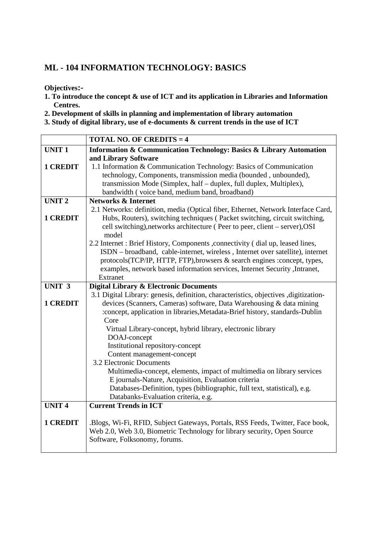# **ML - 104 INFORMATION TECHNOLOGY: BASICS**

### **Objectives:-**

- **1. To introduce the concept & use of ICT and its application in Libraries and Information Centres.**
- **2. Development of skills in planning and implementation of library automation**

**3. Study of digital library, use of e-documents & current trends in the use of ICT** 

|                   | <b>TOTAL NO. OF CREDITS = 4</b>                                                       |
|-------------------|---------------------------------------------------------------------------------------|
| <b>UNIT1</b>      | Information & Communication Technology: Basics & Library Automation                   |
|                   | and Library Software                                                                  |
| <b>1 CREDIT</b>   | 1.1 Information & Communication Technology: Basics of Communication                   |
|                   | technology, Components, transmission media (bounded, unbounded),                      |
|                   | transmission Mode (Simplex, half – duplex, full duplex, Multiplex),                   |
|                   | bandwidth (voice band, medium band, broadband)                                        |
| <b>UNIT2</b>      | <b>Networks &amp; Internet</b>                                                        |
|                   | 2.1 Networks: definition, media (Optical fiber, Ethernet, Network Interface Card,     |
| <b>1 CREDIT</b>   | Hubs, Routers), switching techniques (Packet switching, circuit switching,            |
|                   | cell switching), networks architecture (Peer to peer, client - server), OSI           |
|                   | model                                                                                 |
|                   | 2.2 Internet : Brief History, Components , connectivity (dial up, leased lines,       |
|                   | ISDN – broadband, cable-internet, wireless, Internet over satellite), internet        |
|                   | protocols(TCP/IP, HTTP, FTP), browsers & search engines :concept, types,              |
|                   | examples, network based information services, Internet Security , Intranet,           |
|                   | Extranet                                                                              |
| UNIT <sub>3</sub> | <b>Digital Library &amp; Electronic Documents</b>                                     |
|                   | 3.1 Digital Library: genesis, definition, characteristics, objectives , digitization- |
| <b>1 CREDIT</b>   | devices (Scanners, Cameras) software, Data Warehousing & data mining                  |
|                   | :concept, application in libraries, Metadata-Brief history, standards-Dublin          |
|                   | Core                                                                                  |
|                   | Virtual Library-concept, hybrid library, electronic library<br>DOAJ-concept           |
|                   |                                                                                       |
|                   | Institutional repository-concept<br>Content management-concept                        |
|                   | 3.2 Electronic Documents                                                              |
|                   | Multimedia-concept, elements, impact of multimedia on library services                |
|                   | E journals-Nature, Acquisition, Evaluation criteria                                   |
|                   | Databases-Definition, types (bibliographic, full text, statistical), e.g.             |
|                   | Databanks-Evaluation criteria, e.g.                                                   |
| <b>UNIT4</b>      | <b>Current Trends in ICT</b>                                                          |
|                   |                                                                                       |
| <b>1 CREDIT</b>   | Blogs, Wi-Fi, RFID, Subject Gateways, Portals, RSS Feeds, Twitter, Face book,         |
|                   | Web 2.0, Web 3.0, Biometric Technology for library security, Open Source              |
|                   | Software, Folksonomy, forums.                                                         |
|                   |                                                                                       |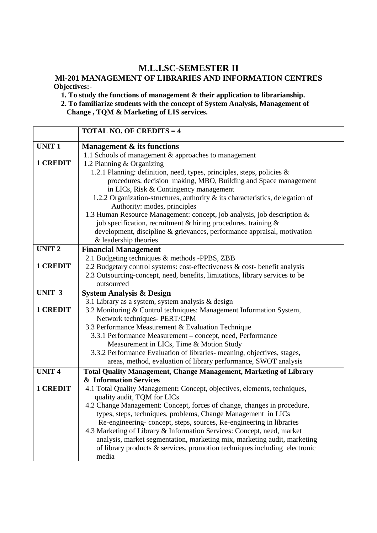# **M.L.I.SC-SEMESTER II**

## **Ml-201 MANAGEMENT OF LIBRARIES AND INFORMATION CENTRES Objectives:-**

 **1. To study the functions of management & their application to librarianship.** 

 **2. To familiarize students with the concept of System Analysis, Management of Change , TQM & Marketing of LIS services.** 

|                   | <b>TOTAL NO. OF CREDITS = 4</b>                                                                                                            |
|-------------------|--------------------------------------------------------------------------------------------------------------------------------------------|
| <b>UNIT1</b>      | <b>Management &amp; its functions</b>                                                                                                      |
|                   | 1.1 Schools of management & approaches to management                                                                                       |
| 1 CREDIT          | 1.2 Planning & Organizing                                                                                                                  |
|                   | 1.2.1 Planning: definition, need, types, principles, steps, policies &                                                                     |
|                   | procedures, decision making, MBO, Building and Space management                                                                            |
|                   | in LICs, Risk & Contingency management                                                                                                     |
|                   | 1.2.2 Organization-structures, authority & its characteristics, delegation of                                                              |
|                   | Authority: modes, principles                                                                                                               |
|                   | 1.3 Human Resource Management: concept, job analysis, job description &                                                                    |
|                   | job specification, recruitment & hiring procedures, training &                                                                             |
|                   | development, discipline & grievances, performance appraisal, motivation                                                                    |
|                   | & leadership theories                                                                                                                      |
| <b>UNIT 2</b>     | <b>Financial Management</b>                                                                                                                |
|                   | 2.1 Budgeting techniques & methods -PPBS, ZBB                                                                                              |
| <b>1 CREDIT</b>   | 2.2 Budgetary control systems: cost-effectiveness & cost-benefit analysis                                                                  |
|                   | 2.3 Outsourcing-concept, need, benefits, limitations, library services to be                                                               |
|                   | outsourced                                                                                                                                 |
| UNIT <sub>3</sub> | <b>System Analysis &amp; Design</b>                                                                                                        |
|                   | 3.1 Library as a system, system analysis & design                                                                                          |
| 1 CREDIT          | 3.2 Monitoring & Control techniques: Management Information System,                                                                        |
|                   | Network techniques- PERT/CPM                                                                                                               |
|                   | 3.3 Performance Measurement & Evaluation Technique                                                                                         |
|                   | 3.3.1 Performance Measurement - concept, need, Performance                                                                                 |
|                   | Measurement in LICs, Time & Motion Study                                                                                                   |
|                   | 3.3.2 Performance Evaluation of libraries- meaning, objectives, stages,<br>areas, method, evaluation of library performance, SWOT analysis |
|                   |                                                                                                                                            |
| <b>UNIT4</b>      | Total Quality Management, Change Management, Marketing of Library<br>& Information Services                                                |
| <b>1 CREDIT</b>   | 4.1 Total Quality Management: Concept, objectives, elements, techniques,                                                                   |
|                   | quality audit, TQM for LICs                                                                                                                |
|                   | 4.2 Change Management: Concept, forces of change, changes in procedure,                                                                    |
|                   | types, steps, techniques, problems, Change Management in LICs                                                                              |
|                   | Re-engineering-concept, steps, sources, Re-engineering in libraries                                                                        |
|                   | 4.3 Marketing of Library & Information Services: Concept, need, market                                                                     |
|                   | analysis, market segmentation, marketing mix, marketing audit, marketing                                                                   |
|                   | of library products & services, promotion techniques including electronic                                                                  |
|                   | media                                                                                                                                      |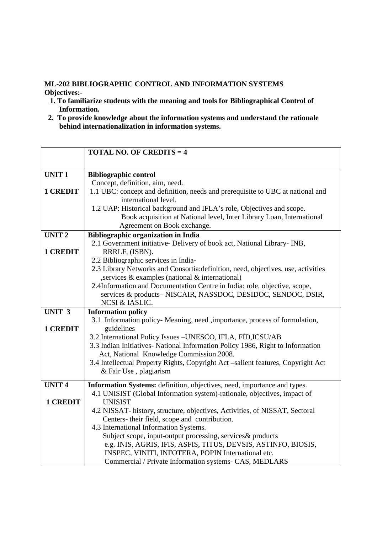## **ML-202 BIBLIOGRAPHIC CONTROL AND INFORMATION SYSTEMS Objectives:-**

- **1. To familiarize students with the meaning and tools for Bibliographical Control of Information.**
- **2. To provide knowledge about the information systems and understand the rationale behind internationalization in information systems.**

|                   | <b>TOTAL NO. OF CREDITS = 4</b>                                                                                                                      |
|-------------------|------------------------------------------------------------------------------------------------------------------------------------------------------|
|                   |                                                                                                                                                      |
| <b>UNIT1</b>      | <b>Bibliographic control</b>                                                                                                                         |
|                   | Concept, definition, aim, need.                                                                                                                      |
| 1 CREDIT          | 1.1 UBC: concept and definition, needs and prerequisite to UBC at national and                                                                       |
|                   | international level.                                                                                                                                 |
|                   | 1.2 UAP: Historical background and IFLA's role, Objectives and scope.                                                                                |
|                   | Book acquisition at National level, Inter Library Loan, International                                                                                |
|                   | Agreement on Book exchange.                                                                                                                          |
| <b>UNIT2</b>      | <b>Bibliographic organization in India</b>                                                                                                           |
|                   | 2.1 Government initiative- Delivery of book act, National Library- INB,                                                                              |
| <b>1 CREDIT</b>   | RRRLF, (ISBN).                                                                                                                                       |
|                   | 2.2 Bibliographic services in India-                                                                                                                 |
|                   | 2.3 Library Networks and Consortia: definition, need, objectives, use, activities                                                                    |
|                   | , services & examples (national & international)                                                                                                     |
|                   | 2.4Information and Documentation Centre in India: role, objective, scope,                                                                            |
|                   | services & products-NISCAIR, NASSDOC, DESIDOC, SENDOC, DSIR,                                                                                         |
|                   | <b>NCSI &amp; IASLIC.</b>                                                                                                                            |
|                   |                                                                                                                                                      |
| UNIT <sub>3</sub> | <b>Information policy</b>                                                                                                                            |
|                   | 3.1 Information policy- Meaning, need , importance, process of formulation,                                                                          |
| <b>1 CREDIT</b>   | guidelines                                                                                                                                           |
|                   | 3.2 International Policy Issues - UNESCO, IFLA, FID, ICSU/AB                                                                                         |
|                   | 3.3 Indian Initiatives- National Information Policy 1986, Right to Information                                                                       |
|                   | Act, National Knowledge Commission 2008.                                                                                                             |
|                   | 3.4 Intellectual Property Rights, Copyright Act -salient features, Copyright Act                                                                     |
|                   | & Fair Use, plagiarism                                                                                                                               |
| <b>UNIT4</b>      |                                                                                                                                                      |
|                   | Information Systems: definition, objectives, need, importance and types.<br>4.1 UNISIST (Global Information system)-rationale, objectives, impact of |
| <b>1 CREDIT</b>   | <b>UNISIST</b>                                                                                                                                       |
|                   | 4.2 NISSAT- history, structure, objectives, Activities, of NISSAT, Sectoral                                                                          |
|                   | Centers-their field, scope and contribution.                                                                                                         |
|                   | 4.3 International Information Systems.                                                                                                               |
|                   | Subject scope, input-output processing, services& products                                                                                           |
|                   | e.g. INIS, AGRIS, IFIS, ASFIS, TITUS, DEVSIS, ASTINFO, BIOSIS,                                                                                       |
|                   | INSPEC, VINITI, INFOTERA, POPIN International etc.<br>Commercial / Private Information systems- CAS, MEDLARS                                         |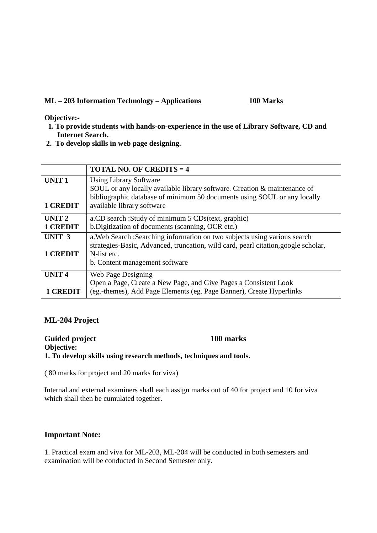### **ML – 203 Information Technology – Applications 100 Marks**

**Objective:-** 

- **1. To provide students with hands-on-experience in the use of Library Software, CD and Internet Search.**
- **2. To develop skills in web page designing.**

|                               | <b>TOTAL NO. OF CREDITS = 4</b>                                                                                                                                                                                      |
|-------------------------------|----------------------------------------------------------------------------------------------------------------------------------------------------------------------------------------------------------------------|
| UNIT <sub>1</sub><br>1 CREDIT | <b>Using Library Software</b><br>SOUL or any locally available library software. Creation & maintenance of<br>bibliographic database of minimum 50 documents using SOUL or any locally<br>available library software |
| UNIT <sub>2</sub><br>1 CREDIT | a.CD search :Study of minimum 5 CDs(text, graphic)<br>b. Digitization of documents (scanning, OCR etc.)                                                                                                              |
| UNIT <sub>3</sub><br>1 CREDIT | a. Web Search : Searching information on two subjects using various search<br>strategies-Basic, Advanced, truncation, wild card, pearl citation, google scholar,<br>N-list etc.<br>b. Content management software    |
| <b>UNIT4</b><br>1 CREDIT      | Web Page Designing<br>Open a Page, Create a New Page, and Give Pages a Consistent Look<br>(eg.-themes), Add Page Elements (eg. Page Banner), Create Hyperlinks                                                       |

## **ML-204 Project**

### **Guided project 100 marks Objective: 1. To develop skills using research methods, techniques and tools.**

( 80 marks for project and 20 marks for viva)

Internal and external examiners shall each assign marks out of 40 for project and 10 for viva which shall then be cumulated together.

## **Important Note:**

1. Practical exam and viva for ML-203, ML-204 will be conducted in both semesters and examination will be conducted in Second Semester only.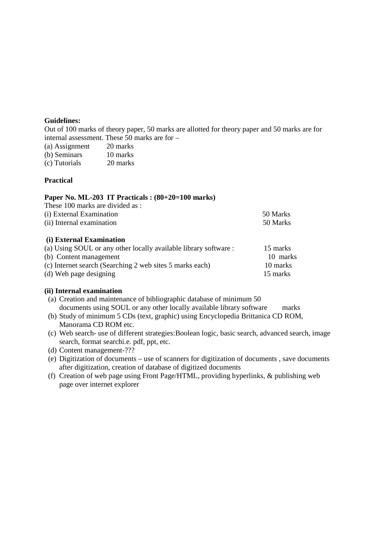### **Guidelines:**

Out of 100 marks of theory paper, 50 marks are allotted for theory paper and 50 marks are for internal assessment. These 50 marks are for –

- (a) Assignment 20 marks
- (b) Seminars 10 marks (c) Tutorials 20 marks

### **Practical**

### **Paper No. ML-203 IT Practicals : (80+20=100 marks)**

| These 100 marks are divided as : |          |  |
|----------------------------------|----------|--|
|                                  |          |  |
| (i) External Examination         | 50 Marks |  |
| (ii) Internal examination        | 50 Marks |  |

### **(i) External Examination**

| (a) Using SOUL or any other locally available library software : | 15 marks |
|------------------------------------------------------------------|----------|
| (b) Content management                                           | 10 marks |
| (c) Internet search (Searching 2 web sites 5 marks each)         | 10 marks |
| (d) Web page designing                                           | 15 marks |

### **(ii) Internal examination**

- (a) Creation and maintenance of bibliographic database of minimum 50 documents using SOUL or any other locally available library software marks
- (b) Study of minimum 5 CDs (text, graphic) using Encyclopedia Brittanica CD ROM, Manorama CD ROM etc.
- (c) Web search- use of different strategies:Boolean logic, basic search, advanced search, image search, format searchi.e. pdf, ppt, etc.
- (d) Content management-???
- (e) Digitization of documents use of scanners for digitization of documents , save documents after digitization, creation of database of digitized documents
- (f) Creation of web page using Front Page/HTML, providing hyperlinks, & publishing web page over internet explorer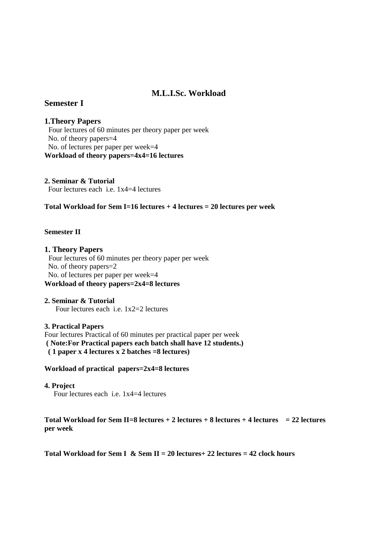# **M.L.I.Sc. Workload**

# **Semester I**

### **1.Theory Papers**

Four lectures of 60 minutes per theory paper per week No. of theory papers=4 No. of lectures per paper per week=4 **Workload of theory papers=4x4=16 lectures** 

**2. Seminar & Tutorial**  Four lectures each i.e. 1x4=4 lectures

### **Total Workload for Sem I=16 lectures + 4 lectures = 20 lectures per week**

### **Semester II**

### **1. Theory Papers**

Four lectures of 60 minutes per theory paper per week No. of theory papers=2 No. of lectures per paper per week=4 **Workload of theory papers=2x4=8 lectures** 

**2. Seminar & Tutorial**  Four lectures each i.e. 1x2=2 lectures

### **3. Practical Papers**

Four lectures Practical of 60 minutes per practical paper per week  **( Note:For Practical papers each batch shall have 12 students.) ( 1 paper x 4 lectures x 2 batches =8 lectures)** 

### **Workload of practical papers=2x4=8 lectures**

### **4. Project**

Four lectures each i.e. 1x4=4 lectures

### Total Workload for Sem II=8 lectures + 2 lectures + 8 lectures + 4 lectures = 22 lectures **per week**

**Total Workload for Sem I & Sem II = 20 lectures+ 22 lectures = 42 clock hours**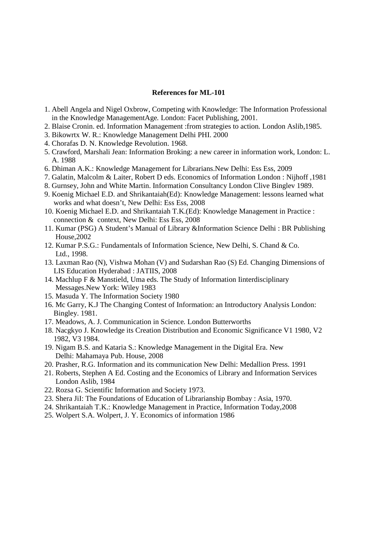#### **References for ML-101**

- 1. Abell Angela and Nigel Oxbrow, Competing with Knowledge: The Information Professional in the Knowledge ManagementAge*.* London: Facet Publishing, 2001.
- 2. Blaise Cronin. ed. Information Management :from strategies to action*.* London Aslib,1985.
- 3. Bikowrtx W. R.: Knowledge Management Delhi PHI. 2000
- 4. Chorafas D. N. Knowledge Revolution. 1968.
- 5. Crawford, Marshali Jean: Information Broking: a new career in information work*,* London: L. A. 1988
- 6. Dhiman A.K.: Knowledge Management for Librarians.New Delhi: Ess Ess, 2009
- 7. Galatin, Malcolm & Laiter, Robert D eds. Economics of Information London : Nijhoff ,1981
- 8. Gurnsey, John and White Martin. Information Consultancy London Clive Binglev 1989.
- 9. Koenig Michael E.D. and Shrikantaiah(Ed): Knowledge Management: lessons learned what works and what doesn't, New Delhi: Ess Ess, 2008
- 10. Koenig Michael E.D. and Shrikantaiah T.K.(Ed): Knowledge Management in Practice : connection & context, New Delhi: Ess Ess, 2008
- 11. Kumar (PSG) A Student's Manual of Library &Information Science Delhi : BR Publishing House,2002
- 12. Kumar P.S.G.: Fundamentals of Information Science*,* New Delhi, S. Chand & Co. Ltd., 1998.
- 13. Laxman Rao (N), Vishwa Mohan (V) and Sudarshan Rao (S) Ed. Changing Dimensions of LIS Education Hyderabad : JATIIS, 2008
- 14. Machlup F & Manstield, Uma eds. The Study of Information Iinterdisciplinary Messages.New York: Wiley 1983
- 15. Masuda Y. The Information Society 1980
- 16. Mc Garry, K.J The Changing Contest of Information: an Introductory Analysis London: Bingley. 1981.
- 17. Meadows, A. J. Communication in Science*.* London Butterworths
- 18. Nacgkyo J. Knowledge its Creation Distribution and Economic Significance V1 1980, V2 1982, V3 1984.
- 19. Nigam B.S. and Kataria S.: Knowledge Management in the Digital Era. New Delhi: Mahamaya Pub. House, 2008
- 20. Prasher, R.G. Information and its communication New Delhi: Medallion Press. 1991
- 21. Roberts, Stephen A Ed. Costing and the Economics of Library and Information Services London Aslib, 1984
- 22. Rozsa G. Scientific Information and Society 1973.
- 23. Shera JiI: The Foundations of Education of Librarianship Bombay : Asia, 1970.
- 24. Shrikantaiah T.K.: Knowledge Management in Practice, Information Today,2008
- 25. Wolpert S.A. Wolpert, J. Y. Economics of information 1986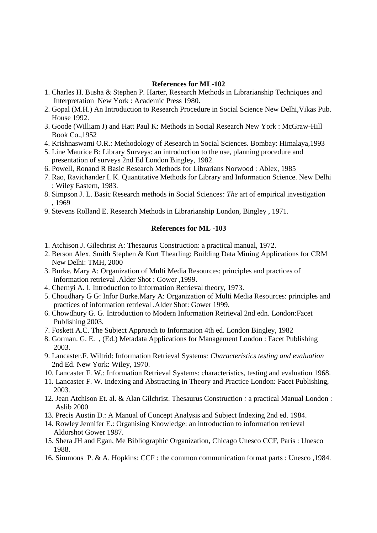#### **References for ML-102**

- 1. Charles H. Busha & Stephen P. Harter, Research Methods in Librarianship Techniques and Interpretation New York : Academic Press 1980.
- 2. Gopal (M.H.) An Introduction to Research Procedure in Social Science New Delhi,Vikas Pub. House 1992.
- 3. Goode (William J) and Hatt Paul K: Methods in Social Research New York : McGraw-Hill Book Co.,1952
- 4. Krishnaswami O.R.: Methodology of Research in Social Sciences. Bombay: Himalaya,1993
- 5. Line Maurice B: Library Surveys: an introduction to the use, planning procedure and presentation of surveys 2nd Ed London Bingley, 1982.
- 6. Powell, Ronand R Basic Research Methods for Librarians Norwood : Ablex, 1985
- 7. Rao, Ravichander I. K. Quantitative Methods for Library and Information Science. New Delhi : Wiley Eastern, 1983.
- 8. Simpson J. L. Basic Research methods in Social Sciences*: The* art of empirical investigation , 1969
- 9. Stevens Rolland E. Research Methods in Librarianship London, Bingley , 1971.

### **References for ML -103**

- 1. Atchison J. Gilechrist A: Thesaurus Construction: a practical manual, 1972.
- 2. Berson Alex, Smith Stephen & Kurt Thearling: Building Data Mining Applications for CRM New Delhi: TMH, 2000
- 3. Burke. Mary A: Organization of Multi Media Resources: principles and practices of information retrieval *.*Alder Shot : Gower ,1999.
- 4. Chernyi A. I. Introduction to Information Retrieval theory, 1973.
- 5. Choudhary G G: Infor Burke.Mary A: Organization of Multi Media Resources: principles and practices of information retrieval *.*Alder Shot: Gower 1999.
- 6. Chowdhury G. G. Introduction to Modern Information Retrieval 2nd edn. London:Facet Publishing 2003.
- 7. Foskett A.C. The Subject Approach to Information 4th ed. London Bingley, 1982
- 8. Gorman. G. E. , (Ed.) Metadata Applications for Management London : Facet Publishing 2003.
- 9. Lancaster.F. Wiltrid: Information Retrieval Systems*: Characteristics testing and evaluation* 2nd Ed. New York: Wiley, 1970.
- 10. Lancaster F. W.: Information Retrieval Systems: characteristics, testing and evaluation 1968.
- 11. Lancaster F. W. Indexing and Abstracting in Theory and Practice London: Facet Publishing, 2003.
- 12. Jean Atchison Et. al. & Alan Gilchrist. Thesaurus Construction *:* a practical Manual London : Aslib 2000
- 13. Precis Austin D.: A Manual of Concept Analysis and Subject Indexing 2nd ed. 1984.
- 14. Rowley Jennifer E.: Organising Knowledge: an introduction to information retrieval Aldorshot Gower 1987.
- 15. Shera JH and Egan, Me Bibliographic Organization*,* Chicago Unesco CCF, Paris : Unesco 1988.
- 16. Simmons P. & A. Hopkins: CCF : the common communication format parts : Unesco ,1984.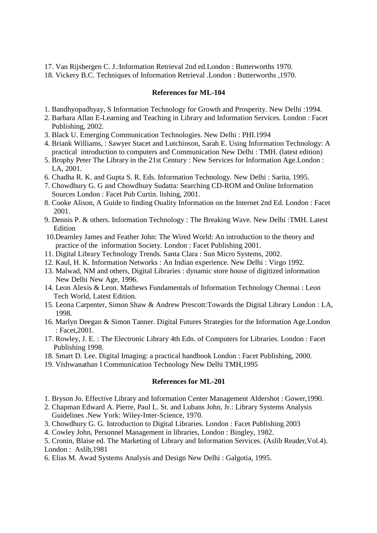- 17. Van Rijsbergen C. J.:Information Retrieval 2nd ed.London : Butterworths 1970.
- 18. Vickery B.C. Techniques of Information Retrieval *.*London : Butterworths ,1970.

### **References for ML-104**

- 1. Bandhyopadhyay, S Information Technology for Growth and Prosperity*.* New Delhi :1994.
- 2. Barbara Allan E-Learning and Teaching in Library and Information Services*.* London : Facet Publishing, 2002.
- 3. Black U. Emerging Communication Technologies*.* New Delhi : PHI.1994
- 4. Briank Williams, : Sawyer Stacet and Lutchinson, Sarah E. Using Information Technology: A practical introduction to computers and Communication New Delhi : TMH. (latest edition)
- 5. Brophy Peter The Library in the 21st Century : New Services for Information Age.London : LA, 2001.
- 6. Chadha R. K. and Gupta S. R. Eds. Information Technology*.* New Delhi : Sarita, 1995.
- 7. Chowdhury G. G and Chowdhury Sudatta: Searching CD-ROM and Online Information Sources London : Facet Pub Curtin. lishing, 2001.
- 8. Cooke Alison, A Guide to finding Ouality Information on the Internet 2nd Ed. London : Facet 2001.
- 9. Dennis P. & others. Information Technology : The Breaking Wave*.* New Delhi :TMH. Latest **Edition**
- 10.Dearnley James and Feather John: The Wired World: An introduction to the theory and practice of the information Society*.* London : Facet Publishing 2001.
- 11. Digital Library Technology Trends*.* Santa Clara : Sun Micro Systems, 2002.
- 12. Kaul, H. K. Information Networks : An Indian experience*.* New Delhi : Virgo 1992.
- 13. Malwad, NM and others, Digital Libraries : dynamic store house of digitized information New Delhi New Age, 1996.
- 14. Leon Alexis & Leon. Mathews Fundamentals of Information Technology Chennai : Leon Tech World, Latest Edition.
- 15. Leona Carpenter, Simon Shaw & Andrew Prescott:Towards the Digital Library London : LA, 1998.
- 16. Marlyn Deegan & Simon Tanner. Digital Futures Strategies for the Information Age.London : Facet,2001.
- 17. Rowley, J. E. : The Electronic Library 4th Edn. of Computers for Libraries. London : Facet Publishing 1998.
- 18. Smart D. Lee. Digital Imaging: a practical handbook London : Facet Publishing, 2000.
- 19. Vishwanathan I Communication Technology New Delhi TMH,1995

#### **References for ML-201**

- 1. Bryson Jo. Effective Library and Information Center Management Aldershot : Gower,1990.
- 2. Chapman Edward A. Pierre, Paul L. St. and Lubans John, Jr.: Library Systems Analysis Guidelines .New York: Wiley-Inter-Science, 1970.
- 3. Chowdhury G. G. Introduction to Digital Libraries*.* London : Facet Publishing 2003
- 4. Cowley John, Personnel Management in libraries*,* London : Bingley, 1982.

5. Cronin, Blaise ed. The Marketing of Library and Information Services. (Aslib Reader,Vol.4). London : Aslib,1981

6. Elias M. Awad Systems Analysis and Design New Delhi : Galgotia, 1995.